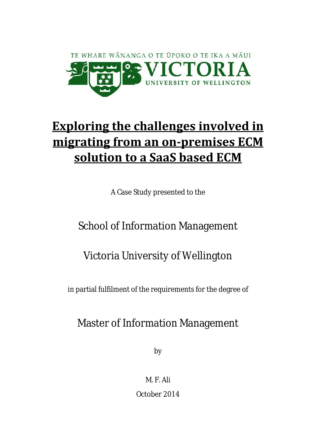

# **Exploring the challenges involved in migrating from an on-premises ECM solution to a SaaS based ECM**

A Case Study presented to the

# School of Information Management

# Victoria University of Wellington

in partial fulfilment of the requirements for the degree of

# Master of Information Management

by

M. F. Ali October 2014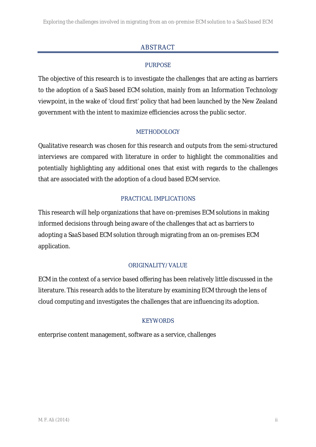# ABSTRACT

## PURPOSE

The objective of this research is to investigate the challenges that are acting as barriers to the adoption of a SaaS based ECM solution, mainly from an Information Technology viewpoint, in the wake of 'cloud first' policy that had been launched by the New Zealand government with the intent to maximize efficiencies across the public sector.

## METHODOLOGY

Qualitative research was chosen for this research and outputs from the semi-structured interviews are compared with literature in order to highlight the commonalities and potentially highlighting any additional ones that exist with regards to the challenges that are associated with the adoption of a cloud based ECM service.

## PRACTICAL IMPLICATIONS

This research will help organizations that have on-premises ECM solutions in making informed decisions through being aware of the challenges that act as barriers to adopting a SaaS based ECM solution through migrating from an on-premises ECM application.

## ORIGINALITY/VALUE

ECM in the context of a service based offering has been relatively little discussed in the literature. This research adds to the literature by examining ECM through the lens of cloud computing and investigates the challenges that are influencing its adoption.

## **KEYWORDS**

enterprise content management, software as a service, challenges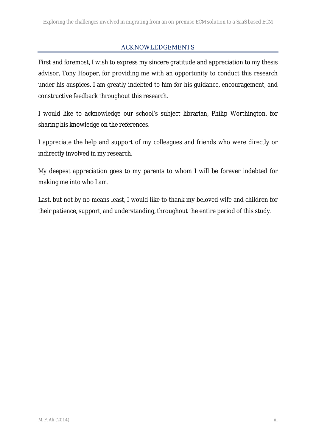## ACKNOWLEDGEMENTS

First and foremost, I wish to express my sincere gratitude and appreciation to my thesis advisor, Tony Hooper, for providing me with an opportunity to conduct this research under his auspices. I am greatly indebted to him for his guidance, encouragement, and constructive feedback throughout this research.

I would like to acknowledge our school's subject librarian, Philip Worthington, for sharing his knowledge on the references.

I appreciate the help and support of my colleagues and friends who were directly or indirectly involved in my research.

My deepest appreciation goes to my parents to whom I will be forever indebted for making me into who I am.

Last, but not by no means least, I would like to thank my beloved wife and children for their patience, support, and understanding, throughout the entire period of this study.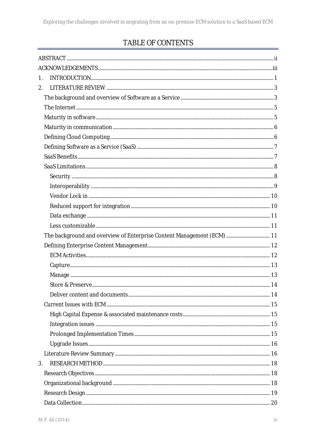# TABLE OF CONTENTS

| 1. |                                                                        |  |
|----|------------------------------------------------------------------------|--|
| 2. |                                                                        |  |
|    |                                                                        |  |
|    |                                                                        |  |
|    |                                                                        |  |
|    |                                                                        |  |
|    |                                                                        |  |
|    |                                                                        |  |
|    |                                                                        |  |
|    |                                                                        |  |
|    |                                                                        |  |
|    |                                                                        |  |
|    |                                                                        |  |
|    |                                                                        |  |
|    |                                                                        |  |
|    |                                                                        |  |
|    | The background and overview of Enterprise Content Management (ECM)  11 |  |
|    |                                                                        |  |
|    |                                                                        |  |
|    |                                                                        |  |
|    |                                                                        |  |
|    |                                                                        |  |
|    |                                                                        |  |
|    |                                                                        |  |
|    |                                                                        |  |
|    |                                                                        |  |
|    |                                                                        |  |
|    |                                                                        |  |
|    |                                                                        |  |
| 3. |                                                                        |  |
|    |                                                                        |  |
|    |                                                                        |  |
|    |                                                                        |  |
|    |                                                                        |  |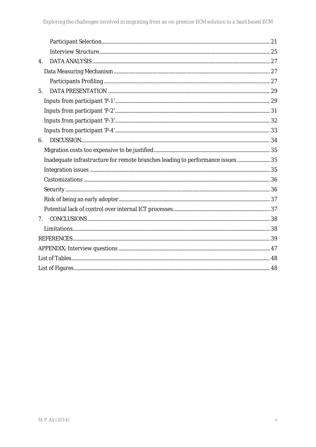| $\mathbf{4}$ . |  |
|----------------|--|
|                |  |
|                |  |
| 5.             |  |
|                |  |
|                |  |
|                |  |
|                |  |
| 6.             |  |
|                |  |
|                |  |
|                |  |
|                |  |
|                |  |
|                |  |
|                |  |
| 7 <sup>7</sup> |  |
|                |  |
|                |  |
|                |  |
|                |  |
|                |  |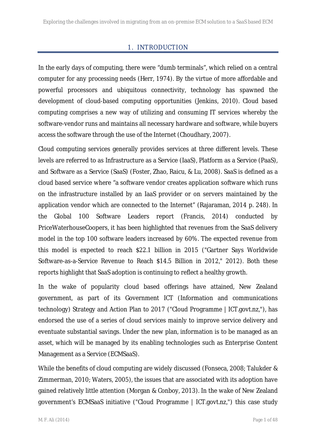## 1. INTRODUCTION

In the early days of computing, there were "dumb terminals", which relied on a central computer for any processing needs (Herr, 1974). By the virtue of more affordable and powerful processors and ubiquitous connectivity, technology has spawned the development of cloud-based computing opportunities (Jenkins, 2010). Cloud based computing comprises a new way of utilizing and consuming IT services whereby the software-vendor runs and maintains all necessary hardware and software, while buyers access the software through the use of the Internet (Choudhary, 2007).

Cloud computing services generally provides services at three different levels. These levels are referred to as Infrastructure as a Service (IaaS), Platform as a Service (PaaS), and Software as a Service (SaaS) (Foster, Zhao, Raicu, & Lu, 2008). SaaS is defined as a cloud based service where "a software vendor creates application software which runs on the infrastructure installed by an IaaS provider or on servers maintained by the application vendor which are connected to the Internet" (Rajaraman, 2014 p. 248). In the Global 100 Software Leaders report (Francis, 2014) conducted by PriceWaterhouseCoopers, it has been highlighted that revenues from the SaaS delivery model in the top 100 software leaders increased by 60%. The expected revenue from this model is expected to reach \$22.1 billion in 2015 ("Gartner Says Worldwide Software-as-a-Service Revenue to Reach \$14.5 Billion in 2012," 2012). Both these reports highlight that SaaS adoption is continuing to reflect a healthy growth.

In the wake of popularity cloud based offerings have attained, New Zealand government, as part of its Government ICT (Information and communications technology) Strategy and Action Plan to 2017 ("Cloud Programme | ICT.govt.nz,"), has endorsed the use of a series of cloud services mainly to improve service delivery and eventuate substantial savings. Under the new plan, information is to be managed as an asset, which will be managed by its enabling technologies such as Enterprise Content Management as a Service (ECMSaaS).

While the benefits of cloud computing are widely discussed (Fonseca, 2008; Talukder & Zimmerman, 2010; Waters, 2005), the issues that are associated with its adoption have gained relatively little attention (Morgan & Conboy, 2013). In the wake of New Zealand government's ECMSaaS initiative ("Cloud Programme | ICT.govt.nz,") this case study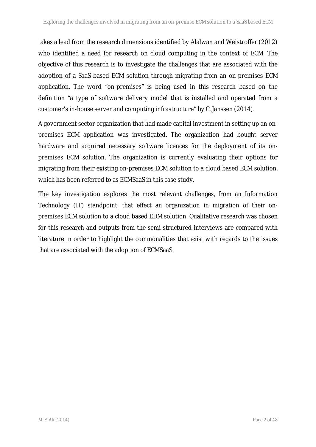takes a lead from the research dimensions identified by Alalwan and Weistroffer (2012) who identified a need for research on cloud computing in the context of ECM. The objective of this research is to investigate the challenges that are associated with the adoption of a SaaS based ECM solution through migrating from an on-premises ECM application. The word "on-premises" is being used in this research based on the definition "a type of software delivery model that is installed and operated from a customer's in-house server and computing infrastructure" by C. Janssen (2014).

A government sector organization that had made capital investment in setting up an on premises ECM application was investigated. The organization had bought server hardware and acquired necessary software licences for the deployment of its on premises ECM solution. The organization is currently evaluating their options for migrating from their existing on-premises ECM solution to a cloud based ECM solution, which has been referred to as ECMSaaS in this case study.

The key investigation explores the most relevant challenges, from an Information Technology (IT) standpoint, that effect an organization in migration of their on premises ECM solution to a cloud based EDM solution. Qualitative research was chosen for this research and outputs from the semi-structured interviews are compared with literature in order to highlight the commonalities that exist with regards to the issues that are associated with the adoption of ECMSaaS.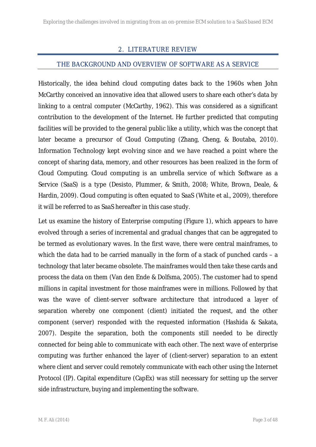## 2. LITERATURE REVIEW

#### THE BACKGROUND AND OVERVIEW OF SOFTWARE AS A SERVICE

Historically, the idea behind cloud computing dates back to the 1960s when John McCarthy conceived an innovative idea that allowed users to share each other's data by linking to a central computer (McCarthy, 1962). This was considered as a significant contribution to the development of the Internet. He further predicted that computing facilities will be provided to the general public like a utility, which was the concept that later became a precursor of Cloud Computing (Zhang, Cheng, & Boutaba, 2010). Information Technology kept evolving since and we have reached a point where the concept of sharing data, memory, and other resources has been realized in the form of Cloud Computing. Cloud computing is an umbrella service of which Software as a Service (SaaS) is a type (Desisto, Plummer, & Smith, 2008; White, Brown, Deale, & Hardin, 2009). Cloud computing is often equated to SaaS (White et al., 2009), therefore it will be referred to as SaaS hereafter in this case study.

Let us examine the history of Enterprise computing (Figure 1), which appears to have evolved through a series of incremental and gradual changes that can be aggregated to be termed as evolutionary waves. In the first wave, there were central mainframes, to which the data had to be carried manually in the form of a stack of punched cards – a technology that later became obsolete. The mainframes would then take these cards and process the data on them (Van den Ende & Dolfsma, 2005). The customer had to spend millions in capital investment for those mainframes were in millions. Followed by that was the wave of client-server software architecture that introduced a layer of separation whereby one component (client) initiated the request, and the other component (server) responded with the requested information (Hashida & Sakata, 2007). Despite the separation, both the components still needed to be directly connected for being able to communicate with each other. The next wave of enterprise computing was further enhanced the layer of (client-server) separation to an extent where client and server could remotely communicate with each other using the Internet Protocol (IP). Capital expenditure (CapEx) was still necessary for setting up the server side infrastructure, buying and implementing the software.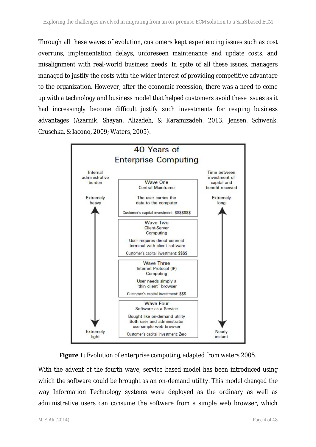Through all these waves of evolution, customers kept experiencing issues such as cost overruns, implementation delays, unforeseen maintenance and update costs, and misalignment with real-world business needs. In spite of all these issues, managers managed to justify the costs with the wider interest of providing competitive advantage to the organization. However, after the economic recession, there was a need to come up with a technology and business model that helped customers avoid these issues as it had increasingly become difficult justify such investments for reaping business advantages (Azarnik, Shayan, Alizadeh, & Karamizadeh, 2013; Jensen, Schwenk, Gruschka, & Iacono, 2009; Waters, 2005).





With the advent of the fourth wave, service based model has been introduced using which the software could be brought as an on-demand utility. This model changed the way Information Technology systems were deployed as the ordinary as well as administrative users can consume the software from a simple web browser, which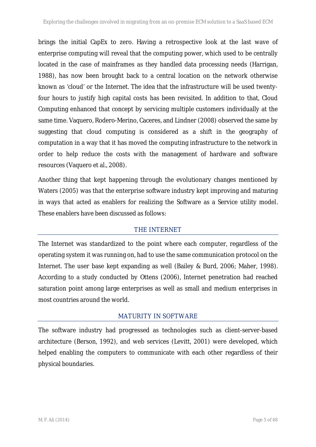brings the initial CapEx to zero. Having a retrospective look at the last wave of enterprise computing will reveal that the computing power, which used to be centrally located in the case of mainframes as they handled data processing needs (Harrigan, 1988), has now been brought back to a central location on the network otherwise known as 'cloud' or the Internet. The idea that the infrastructure will be used twentyfour hours to justify high capital costs has been revisited. In addition to that, Cloud Computing enhanced that concept by servicing multiple customers individually at the same time. Vaquero, Rodero-Merino, Caceres, and Lindner (2008) observed the same by suggesting that cloud computing is considered as a shift in the geography of computation in a way that it has moved the computing infrastructure to the network in order to help reduce the costs with the management of hardware and software resources (Vaquero et al., 2008).

Another thing that kept happening through the evolutionary changes mentioned by Waters (2005) was that the enterprise software industry kept improving and maturing in ways that acted as enablers for realizing the Software as a Service utility model. These enablers have been discussed as follows:

## THE INTERNET

The Internet was standardized to the point where each computer, regardless of the operating system it was running on, had to use the same communication protocol on the Internet. The user base kept expanding as well (Bailey & Burd, 2006; Maher, 1998). According to a study conducted by Ottens (2006), Internet penetration had reached saturation point among large enterprises as well as small and medium enterprises in most countries around the world.

## MATURITY IN SOFTWARE

The software industry had progressed as technologies such as client-server-based architecture (Berson, 1992), and web services (Levitt, 2001) were developed, which helped enabling the computers to communicate with each other regardless of their physical boundaries.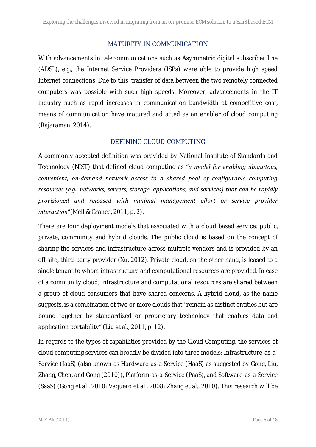#### MATURITY IN COMMUNICATION

With advancements in telecommunications such as Asymmetric digital subscriber line (ADSL), e.g., the Internet Service Providers (ISPs) were able to provide high speed Internet connections. Due to this, transfer of data between the two remotely connected computers was possible with such high speeds. Moreover, advancements in the IT industry such as rapid increases in communication bandwidth at competitive cost, means of communication have matured and acted as an enabler of cloud computing (Rajaraman, 2014).

## DEFINING CLOUD COMPUTING

A commonly accepted definition was provided by National Institute of Standards and Technology (NIST) that defined cloud computing as "*a model for enabling ubiquitous, convenient, on-demand network access to a shared pool of configurable computing resources (e.g., networks, servers, storage, applications, and services) that can be rapidly provisioned and released with minimal management effort or service provider interaction*"(Mell & Grance, 2011, p. 2).

There are four deployment models that associated with a cloud based service: public, private, community and hybrid clouds. The public cloud is based on the concept of sharing the services and infrastructure across multiple vendors and is provided by an off-site, third-party provider (Xu, 2012). Private cloud, on the other hand, is leased to a single tenant to whom infrastructure and computational resources are provided. In case of a community cloud, infrastructure and computational resources are shared between a group of cloud consumers that have shared concerns. A hybrid cloud, as the name suggests, is a combination of two or more clouds that "remain as distinct entities but are bound together by standardized or proprietary technology that enables data and application portability" (Liu et al., 2011, p. 12).

In regards to the types of capabilities provided by the Cloud Computing, the services of cloud computing services can broadly be divided into three models: Infrastructure-as-a- Service (IaaS) (also known as Hardware-as-a-Service (HaaS) as suggested by Gong, Liu, Zhang, Chen, and Gong (2010)), Platform-as-a-Service (PaaS), and Software-as-a-Service (SaaS) (Gong et al., 2010; Vaquero et al., 2008; Zhang et al., 2010). This research will be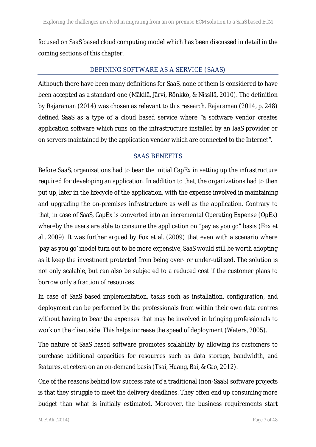focused on SaaS based cloud computing model which has been discussed in detail in the coming sections of this chapter.

## DEFINING SOFTWARE AS A SERVICE (SAAS)

Although there have been many definitions for SaaS, none of them is considered to have been accepted as a standard one (Mäkilä, Järvi, Rönkkö, & Nissilä, 2010). The definition by Rajaraman (2014) was chosen as relevant to this research. Rajaraman (2014, p. 248) defined SaaS as a type of a cloud based service where "a software vendor creates application software which runs on the infrastructure installed by an IaaS provider or on servers maintained by the application vendor which are connected to the Internet".

## SAAS BENEFITS

Before SaaS, organizations had to bear the initial CapEx in setting up the infrastructure required for developing an application. In addition to that, the organizations had to then put up, later in the lifecycle of the application, with the expense involved in maintaining and upgrading the on-premises infrastructure as well as the application. Contrary to that, in case of SaaS, CapEx is converted into an incremental Operating Expense (OpEx) whereby the users are able to consume the application on "pay as you go" basis (Fox et al., 2009). It was further argued by Fox et al. (2009) that even with a scenario where 'pay as you go' model turn out to be more expensive, SaaS would still be worth adopting as it keep the investment protected from being over- or under-utilized. The solution is not only scalable, but can also be subjected to a reduced cost if the customer plans to borrow only a fraction of resources.

In case of SaaS based implementation, tasks such as installation, configuration, and deployment can be performed by the professionals from within their own data centres without having to bear the expenses that may be involved in bringing professionals to work on the client side. This helps increase the speed of deployment (Waters, 2005).

The nature of SaaS based software promotes scalability by allowing its customers to purchase additional capacities for resources such as data storage, bandwidth, and features, et cetera on an on-demand basis (Tsai, Huang, Bai, & Gao, 2012).

One of the reasons behind low success rate of a traditional (non-SaaS) software projects is that they struggle to meet the delivery deadlines. They often end up consuming more budget than what is initially estimated. Moreover, the business requirements start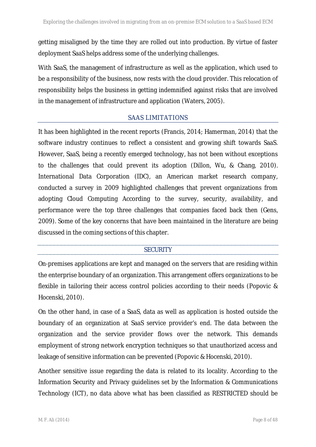getting misaligned by the time they are rolled out into production. By virtue of faster deployment SaaS helps address some of the underlying challenges.

With SaaS, the management of infrastructure as well as the application, which used to be a responsibility of the business, now rests with the cloud provider. This relocation of responsibility helps the business in getting indemnified against risks that are involved in the management of infrastructure and application (Waters, 2005).

## SAAS LIMITATIONS

It has been highlighted in the recent reports (Francis, 2014; Hamerman, 2014) that the software industry continues to reflect a consistent and growing shift towards SaaS. However, SaaS, being a recently emerged technology, has not been without exceptions to the challenges that could prevent its adoption (Dillon, Wu, & Chang, 2010). International Data Corporation (IDC), an American market research company, conducted a survey in 2009 highlighted challenges that prevent organizations from adopting Cloud Computing According to the survey, security, availability, and performance were the top three challenges that companies faced back then (Gens, 2009). Some of the key concerns that have been maintained in the literature are being discussed in the coming sections of this chapter.

## **SECURITY**

On-premises applications are kept and managed on the servers that are residing within the enterprise boundary of an organization. This arrangement offers organizations to be flexible in tailoring their access control policies according to their needs (Popovic & Hocenski, 2010).

On the other hand, in case of a SaaS, data as well as application is hosted outside the boundary of an organization at SaaS service provider's end. The data between the organization and the service provider flows over the network. This demands employment of strong network encryption techniques so that unauthorized access and leakage of sensitive information can be prevented (Popovic & Hocenski, 2010).

Another sensitive issue regarding the data is related to its locality. According to the Information Security and Privacy guidelines set by the Information & Communications Technology (ICT), no data above what has been classified as RESTRICTED should be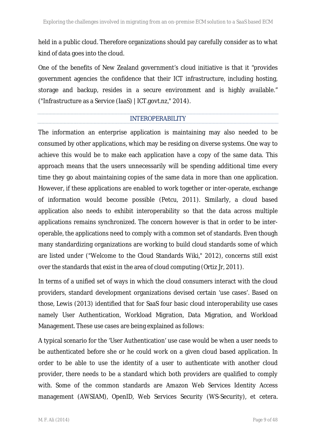held in a public cloud. Therefore organizations should pay carefully consider as to what kind of data goes into the cloud.

One of the benefits of New Zealand government's cloud initiative is that it "provides government agencies the confidence that their ICT infrastructure, including hosting, storage and backup, resides in a secure environment and is highly available." ("Infrastructure as a Service (IaaS) | ICT.govt.nz," 2014).

#### INTEROPERABILITY

The information an enterprise application is maintaining may also needed to be consumed by other applications, which may be residing on diverse systems. One way to achieve this would be to make each application have a copy of the same data. This approach means that the users unnecessarily will be spending additional time every time they go about maintaining copies of the same data in more than one application. However, if these applications are enabled to work together or inter-operate, exchange of information would become possible (Petcu, 2011). Similarly, a cloud based application also needs to exhibit interoperability so that the data across multiple applications remains synchronized. The concern however is that in order to be inter operable, the applications need to comply with a common set of standards. Even though many standardizing organizations are working to build cloud standards some of which are listed under ("Welcome to the Cloud Standards Wiki," 2012), concerns still exist over the standards that exist in the area of cloud computing (Ortiz Jr, 2011).

In terms of a unified set of ways in which the cloud consumers interact with the cloud providers, standard development organizations devised certain 'use cases'. Based on those, Lewis (2013) identified that for SaaS four basic cloud interoperability use cases namely User Authentication, Workload Migration, Data Migration, and Workload Management. These use cases are being explained as follows:

A typical scenario for the 'User Authentication' use case would be when a user needs to be authenticated before she or he could work on a given cloud based application. In order to be able to use the identity of a user to authenticate with another cloud provider, there needs to be a standard which both providers are qualified to comply with. Some of the common standards are Amazon Web Services Identity Access management (AWSIAM), OpenID, Web Services Security (WS-Security), et cetera.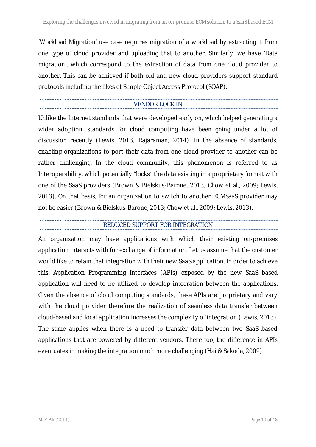'Workload Migration' use case requires migration of a workload by extracting it from one type of cloud provider and uploading that to another. Similarly, we have 'Data migration', which correspond to the extraction of data from one cloud provider to another. This can be achieved if both old and new cloud providers support standard protocols including the likes of Simple Object Access Protocol (SOAP).

## VENDOR LOCK IN

Unlike the Internet standards that were developed early on, which helped generating a wider adoption, standards for cloud computing have been going under a lot of discussion recently (Lewis, 2013; Rajaraman, 2014). In the absence of standards, enabling organizations to port their data from one cloud provider to another can be rather challenging. In the cloud community, this phenomenon is referred to as Interoperability, which potentially "locks" the data existing in a proprietary format with one of the SaaS providers (Brown & Bielskus-Barone, 2013; Chow et al., 2009; Lewis, 2013). On that basis, for an organization to switch to another ECMSaaS provider may not be easier (Brown & Bielskus-Barone, 2013; Chow et al., 2009; Lewis, 2013).

## REDUCED SUPPORT FOR INTEGRATION

An organization may have applications with which their existing on-premises application interacts with for exchange of information. Let us assume that the customer would like to retain that integration with their new SaaS application. In order to achieve this, Application Programming Interfaces (APIs) exposed by the new SaaS based application will need to be utilized to develop integration between the applications. Given the absence of cloud computing standards, these APIs are proprietary and vary with the cloud provider therefore the realization of seamless data transfer between cloud-based and local application increases the complexity of integration (Lewis, 2013). The same applies when there is a need to transfer data between two SaaS based applications that are powered by different vendors. There too, the difference in APIs eventuates in making the integration much more challenging (Hai & Sakoda, 2009).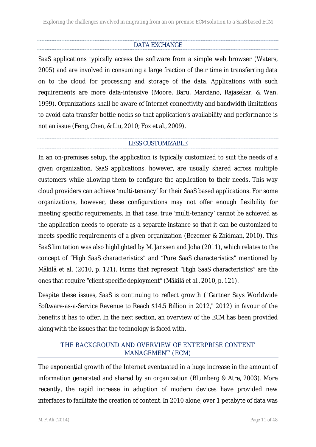## DATA EXCHANGE

SaaS applications typically access the software from a simple web browser (Waters, 2005) and are involved in consuming a large fraction of their time in transferring data on to the cloud for processing and storage of the data. Applications with such requirements are more data-intensive (Moore, Baru, Marciano, Rajasekar, & Wan, 1999). Organizations shall be aware of Internet connectivity and bandwidth limitations to avoid data transfer bottle necks so that application's availability and performance is not an issue (Feng, Chen, & Liu, 2010; Fox et al., 2009).

#### LESS CUSTOMIZABLE

In an on-premises setup, the application is typically customized to suit the needs of a given organization. SaaS applications, however, are usually shared across multiple customers while allowing them to configure the application to their needs. This way cloud providers can achieve 'multi-tenancy' for their SaaS based applications. For some organizations, however, these configurations may not offer enough flexibility for meeting specific requirements. In that case, true 'multi-tenancy' cannot be achieved as the application needs to operate as a separate instance so that it can be customized to meets specific requirements of a given organization (Bezemer & Zaidman, 2010). This SaaS limitation was also highlighted by M. Janssen and Joha (2011), which relates to the concept of "High SaaS characteristics" and "Pure SaaS characteristics" mentioned by Mäkilä et al. (2010, p. 121). Firms that represent "High SaaS characteristics" are the ones that require "client specific deployment" (Mäkilä et al., 2010, p. 121).

Despite these issues, SaaS is continuing to reflect growth ("Gartner Says Worldwide Software-as-a-Service Revenue to Reach \$14.5 Billion in 2012," 2012) in favour of the benefits it has to offer. In the next section, an overview of the ECM has been provided along with the issues that the technology is faced with.

## THE BACKGROUND AND OVERVIEW OF ENTERPRISE CONTENT MANAGEMENT (ECM)

The exponential growth of the Internet eventuated in a huge increase in the amount of information generated and shared by an organization (Blumberg & Atre, 2003). More recently, the rapid increase in adoption of modern devices have provided new interfaces to facilitate the creation of content. In 2010 alone, over 1 petabyte of data was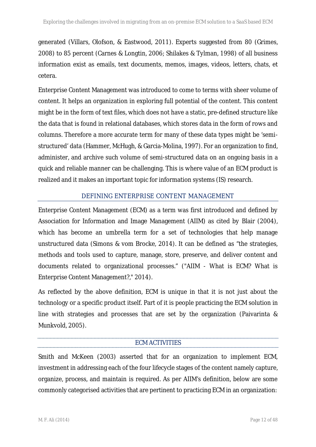generated (Villars, Olofson, & Eastwood, 2011). Experts suggested from 80 (Grimes, 2008) to 85 percent (Carnes & Longtin, 2006; Shilakes & Tylman, 1998) of all business information exist as emails, text documents, memos, images, videos, letters, chats, et cetera.

Enterprise Content Management was introduced to come to terms with sheer volume of content. It helps an organization in exploring full potential of the content. This content might be in the form of text files, which does not have a static, pre-defined structure like the data that is found in relational databases, which stores data in the form of rows and columns. Therefore a more accurate term for many of these data types might be 'semi structured' data (Hammer, McHugh, & Garcia-Molina, 1997). For an organization to find, administer, and archive such volume of semi-structured data on an ongoing basis in a quick and reliable manner can be challenging. This is where value of an ECM product is realized and it makes an important topic for information systems (IS) research.

## DEFINING ENTERPRISE CONTENT MANAGEMENT

Enterprise Content Management (ECM) as a term was first introduced and defined by Association for Information and Image Management (AIIM) as cited by Blair (2004), which has become an umbrella term for a set of technologies that help manage unstructured data (Simons & vom Brocke, 2014). It can be defined as "the strategies, methods and tools used to capture, manage, store, preserve, and deliver content and documents related to organizational processes." ("AIIM - What is ECM? What is Enterprise Content Management?," 2014).

As reflected by the above definition, ECM is unique in that it is not just about the technology or a specific product itself. Part of it is people practicing the ECM solution in line with strategies and processes that are set by the organization (Paivarinta & Munkvold, 2005).

## ECM ACTIVITIES

Smith and McKeen (2003) asserted that for an organization to implement ECM, investment in addressing each of the four lifecycle stages of the content namely capture, organize, process, and maintain is required. As per AIIM's definition, below are some commonly categorised activities that are pertinent to practicing ECM in an organization: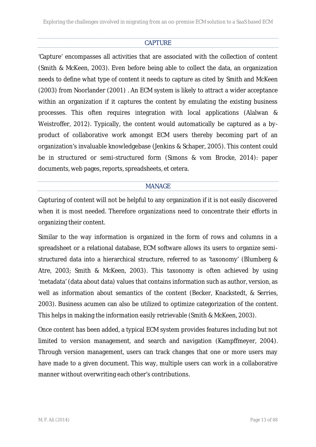## CAPTURE

'Capture' encompasses all activities that are associated with the collection of content (Smith & McKeen, 2003). Even before being able to collect the data, an organization needs to define what type of content it needs to capture as cited by Smith and McKeen (2003) from Noorlander (2001) . An ECM system is likely to attract a wider acceptance within an organization if it captures the content by emulating the existing business processes. This often requires integration with local applications (Alalwan & Weistroffer, 2012). Typically, the content would automatically be captured as a by product of collaborative work amongst ECM users thereby becoming part of an organization's invaluable knowledgebase (Jenkins & Schaper, 2005). This content could be in structured or semi-structured form (Simons & vom Brocke, 2014): paper documents, web pages, reports, spreadsheets, et cetera.

#### MANAGE

Capturing of content will not be helpful to any organization if it is not easily discovered when it is most needed. Therefore organizations need to concentrate their efforts in organizing their content.

Similar to the way information is organized in the form of rows and columns in a spreadsheet or a relational database, ECM software allows its users to organize semi structured data into a hierarchical structure, referred to as 'taxonomy' (Blumberg & Atre, 2003; Smith & McKeen, 2003). This taxonomy is often achieved by using 'metadata' (data about data) values that contains information such as author, version, as well as information about semantics of the content (Becker, Knackstedt, & Serries, 2003). Business acumen can also be utilized to optimize categorization of the content. This helps in making the information easily retrievable (Smith & McKeen, 2003).

Once content has been added, a typical ECM system provides features including but not limited to version management, and search and navigation (Kampffmeyer, 2004). Through version management, users can track changes that one or more users may have made to a given document. This way, multiple users can work in a collaborative manner without overwriting each other's contributions.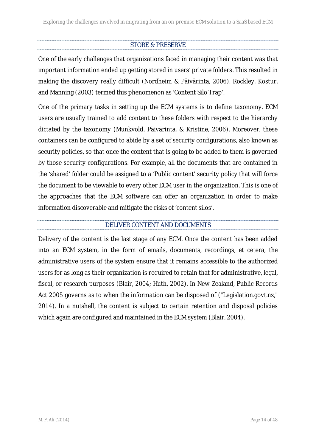## STORE & PRESERVE

One of the early challenges that organizations faced in managing their content was that important information ended up getting stored in users' private folders. This resulted in making the discovery really difficult (Nordheim & Päivärinta, 2006). Rockley, Kostur, and Manning (2003) termed this phenomenon as 'Content Silo Trap'.

One of the primary tasks in setting up the ECM systems is to define taxonomy. ECM users are usually trained to add content to these folders with respect to the hierarchy dictated by the taxonomy (Munkvold, Päivärinta, & Kristine, 2006). Moreover, these containers can be configured to abide by a set of security configurations, also known as security policies, so that once the content that is going to be added to them is governed by those security configurations. For example, all the documents that are contained in the 'shared' folder could be assigned to a 'Public content' security policy that will force the document to be viewable to every other ECM user in the organization. This is one of the approaches that the ECM software can offer an organization in order to make information discoverable and mitigate the risks of 'content silos'.

## DELIVER CONTENT AND DOCUMENTS

Delivery of the content is the last stage of any ECM. Once the content has been added into an ECM system, in the form of emails, documents, recordings, et cetera, the administrative users of the system ensure that it remains accessible to the authorized users for as long as their organization is required to retain that for administrative, legal, fiscal, or research purposes (Blair, 2004; Huth, 2002). In New Zealand, Public Records Act 2005 governs as to when the information can be disposed of ("Legislation.govt.nz," 2014). In a nutshell, the content is subject to certain retention and disposal policies which again are configured and maintained in the ECM system (Blair, 2004).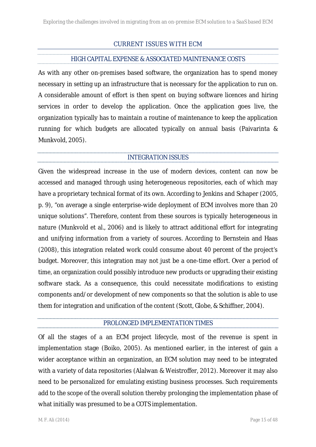## CURRENT ISSUES WITH ECM

## HIGH CAPITAL EXPENSE & ASSOCIATED MAINTENANCE COSTS

As with any other on-premises based software, the organization has to spend money necessary in setting up an infrastructure that is necessary for the application to run on. A considerable amount of effort is then spent on buying software licences and hiring services in order to develop the application. Once the application goes live, the organization typically has to maintain a routine of maintenance to keep the application running for which budgets are allocated typically on annual basis (Paivarinta & Munkvold, 2005).

#### INTEGRATION ISSUES

Given the widespread increase in the use of modern devices, content can now be accessed and managed through using heterogeneous repositories, each of which may have a proprietary technical format of its own. According to Jenkins and Schaper (2005, p. 9), "on average a single enterprise-wide deployment of ECM involves more than 20 unique solutions". Therefore, content from these sources is typically heterogeneous in nature (Munkvold et al., 2006) and is likely to attract additional effort for integrating and unifying information from a variety of sources. According to Bernstein and Haas (2008), this integration related work could consume about 40 percent of the project's budget. Moreover, this integration may not just be a one-time effort. Over a period of time, an organization could possibly introduce new products or upgrading their existing software stack. As a consequence, this could necessitate modifications to existing components and/or development of new components so that the solution is able to use them for integration and unification of the content (Scott, Globe, & Schiffner, 2004).

#### PROLONGED IMPLEMENTATION TIMES

Of all the stages of a an ECM project lifecycle, most of the revenue is spent in implementation stage (Boiko, 2005). As mentioned earlier, in the interest of gain a wider acceptance within an organization, an ECM solution may need to be integrated with a variety of data repositories (Alalwan & Weistroffer, 2012). Moreover it may also need to be personalized for emulating existing business processes. Such requirements add to the scope of the overall solution thereby prolonging the implementation phase of what initially was presumed to be a COTS implementation.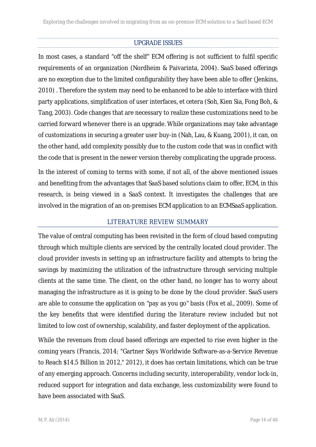## UPGRADE ISSUES

In most cases, a standard "off the shelf" ECM offering is not sufficient to fulfil specific requirements of an organization (Nordheim & Paivarinta, 2004). SaaS based offerings are no exception due to the limited configurability they have been able to offer (Jenkins, 2010) . Therefore the system may need to be enhanced to be able to interface with third party applications, simplification of user interfaces, et cetera (Soh, Kien Sia, Fong Boh, & Tang, 2003). Code changes that are necessary to realize these customizations need to be carried forward whenever there is an upgrade. While organizations may take advantage of customizations in securing a greater user buy-in (Nah, Lau, & Kuang, 2001), it can, on the other hand, add complexity possibly due to the custom code that was in conflict with the code that is present in the newer version thereby complicating the upgrade process.

In the interest of coming to terms with some, if not all, of the above mentioned issues and benefiting from the advantages that SaaS based solutions claim to offer, ECM, in this research, is being viewed in a SaaS context. It investigates the challenges that are involved in the migration of an on-premises ECM application to an ECMSaaS application.

#### LITERATURE REVIEW SUMMARY

The value of central computing has been revisited in the form of cloud based computing through which multiple clients are serviced by the centrally located cloud provider. The cloud provider invests in setting up an infrastructure facility and attempts to bring the savings by maximizing the utilization of the infrastructure through servicing multiple clients at the same time. The client, on the other hand, no longer has to worry about managing the infrastructure as it is going to be done by the cloud provider. SaaS users are able to consume the application on "pay as you go" basis (Fox et al., 2009). Some of the key benefits that were identified during the literature review included but not limited to low cost of ownership, scalability, and faster deployment of the application.

While the revenues from cloud based offerings are expected to rise even higher in the coming years (Francis, 2014; "Gartner Says Worldwide Software-as-a-Service Revenue to Reach \$14.5 Billion in 2012," 2012), it does has certain limitations, which can be true of any emerging approach. Concerns including security, interoperability, vendor lock-in, reduced support for integration and data exchange, less customizability were found to have been associated with SaaS.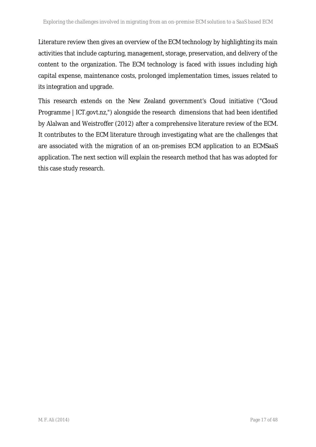Literature review then gives an overview of the ECM technology by highlighting its main activities that include capturing, management, storage, preservation, and delivery of the content to the organization. The ECM technology is faced with issues including high capital expense, maintenance costs, prolonged implementation times, issues related to its integration and upgrade.

This research extends on the New Zealand government's Cloud initiative ("Cloud Programme | ICT.govt.nz,") alongside the research dimensions that had been identified by Alalwan and Weistroffer (2012) after a comprehensive literature review of the ECM. It contributes to the ECM literature through investigating what are the challenges that are associated with the migration of an on-premises ECM application to an ECMSaaS application. The next section will explain the research method that has was adopted for this case study research.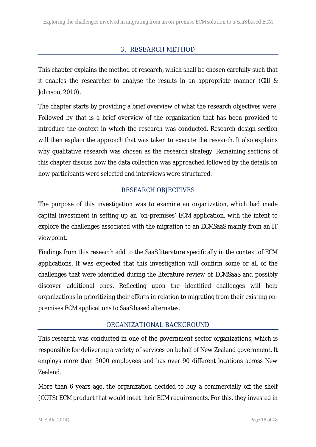## 3. RESEARCH METHOD

This chapter explains the method of research, which shall be chosen carefully such that it enables the researcher to analyse the results in an appropriate manner (Gill & Johnson, 2010).

The chapter starts by providing a brief overview of what the research objectives were. Followed by that is a brief overview of the organization that has been provided to introduce the context in which the research was conducted. Research design section will then explain the approach that was taken to execute the research. It also explains why qualitative research was chosen as the research strategy. Remaining sections of this chapter discuss how the data collection was approached followed by the details on how participants were selected and interviews were structured.

#### RESEARCH OBJECTIVES

The purpose of this investigation was to examine an organization, which had made capital investment in setting up an 'on-premises' ECM application, with the intent to explore the challenges associated with the migration to an ECMSaaS mainly from an IT viewpoint.

Findings from this research add to the SaaS literature specifically in the context of ECM applications. It was expected that this investigation will confirm some or all of the challenges that were identified during the literature review of ECMSaaS and possibly discover additional ones. Reflecting upon the identified challenges will help organizations in prioritizing their efforts in relation to migrating from their existing on premises ECM applications to SaaS based alternates.

#### ORGANIZATIONAL BACKGROUND

This research was conducted in one of the government sector organizations, which is responsible for delivering a variety of services on behalf of New Zealand government. It employs more than 3000 employees and has over 90 different locations across New Zealand.

More than 6 years ago, the organization decided to buy a commercially off the shelf (COTS) ECM product that would meet their ECM requirements. For this, they invested in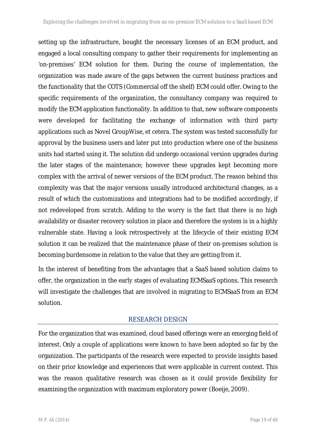setting up the infrastructure, bought the necessary licenses of an ECM product, and engaged a local consulting company to gather their requirements for implementing an 'on-premises' ECM solution for them. During the course of implementation, the organization was made aware of the gaps between the current business practices and the functionality that the COTS (Commercial off the shelf) ECM could offer. Owing to the specific requirements of the organization, the consultancy company was required to modify the ECM application functionality. In addition to that, new software components were developed for facilitating the exchange of information with third party applications such as Novel GroupWise, et cetera. The system was tested successfully for approval by the business users and later put into production where one of the business units had started using it. The solution did undergo occasional version upgrades during the later stages of the maintenance; however these upgrades kept becoming more complex with the arrival of newer versions of the ECM product. The reason behind this complexity was that the major versions usually introduced architectural changes, as a result of which the customizations and integrations had to be modified accordingly, if not redeveloped from scratch. Adding to the worry is the fact that there is no high availability or disaster recovery solution in place and therefore the system is in a highly vulnerable state. Having a look retrospectively at the lifecycle of their existing ECM solution it can be realized that the maintenance phase of their on-premises solution is becoming burdensome in relation to the value that they are getting from it.

In the interest of benefiting from the advantages that a SaaS based solution claims to offer, the organization in the early stages of evaluating ECMSaaS options. This research will investigate the challenges that are involved in migrating to ECMSaaS from an ECM solution.

## RESEARCH DESIGN

For the organization that was examined, cloud based offerings were an emerging field of interest. Only a couple of applications were known to have been adopted so far by the organization. The participants of the research were expected to provide insights based on their prior knowledge and experiences that were applicable in current context. This was the reason qualitative research was chosen as it could provide flexibility for examining the organization with maximum exploratory power (Boeije, 2009).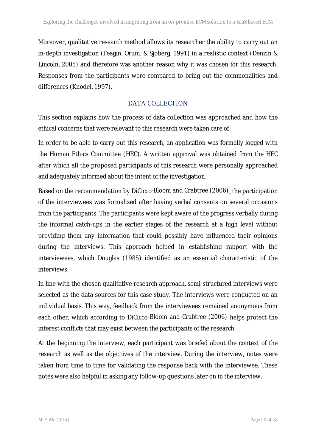Moreover, qualitative research method allows its researcher the ability to carry out an in-depth investigation (Feagin, Orum, & Sjoberg, 1991) in a realistic context (Denzin & Lincoln, 2005) and therefore was another reason why it was chosen for this research. Responses from the participants were compared to bring out the commonalities and differences (Knodel, 1997).

## DATA COLLECTION

This section explains how the process of data collection was approached and how the ethical concerns that were relevant to this research were taken care of.

In order to be able to carry out this research, an application was formally logged with the Human Ethics Committee (HEC). A written approval was obtained from the HEC after which all the proposed participants of this research were personally approached and adequately informed about the intent of the investigation.

Based on the recommendation by DiCicco Bloom and Crabtree (2006), the participation of the interviewees was formalized after having verbal consents on several occasions from the participants. The participants were kept aware of the progress verbally during the informal catch-ups in the earlier stages of the research at a high level without providing them any information that could possibly have influenced their opinions during the interviews. This approach helped in establishing rapport with the interviewees, which Douglas (1985) identified as an essential characteristic of the interviews.

In line with the chosen qualitative research approach, semi-structured interviews were selected as the data sources for this case study. The interviews were conducted on an individual basis. This way, feedback from the interviewees remained anonymous from each other, which according to DiCicco Bloom and Crabtree (2006) helps protect the interest conflicts that may exist between the participants of the research.

At the beginning the interview, each participant was briefed about the context of the research as well as the objectives of the interview. During the interview, notes were taken from time to time for validating the response back with the interviewee. These notes were also helpful in asking any follow-up questions later on in the interview.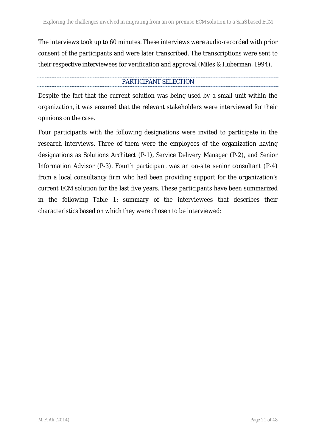The interviews took up to 60 minutes. These interviews were audio-recorded with prior consent of the participants and were later transcribed. The transcriptions were sent to their respective interviewees for verification and approval (Miles & Huberman, 1994).

#### PARTICIPANT SELECTION

Despite the fact that the current solution was being used by a small unit within the organization, it was ensured that the relevant stakeholders were interviewed for their opinions on the case.

Four participants with the following designations were invited to participate in the research interviews. Three of them were the employees of the organization having designations as Solutions Architect (P-1), Service Delivery Manager (P-2), and Senior Information Advisor (P-3). Fourth participant was an on-site senior consultant (P-4) from a local consultancy firm who had been providing support for the organization's current ECM solution for the last five years. These participants have been summarized in the following Table 1: summary of the interviewees that describes their characteristics based on which they were chosen to be interviewed: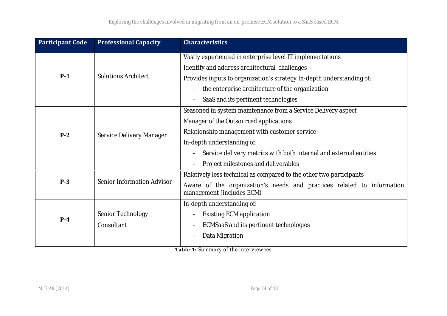| <b>Participant Code</b> | <b>Professional Capacity</b> | <b>Characteristics</b>                                                                              |
|-------------------------|------------------------------|-----------------------------------------------------------------------------------------------------|
| $P-1$                   | <b>Solutions Architect</b>   | Vastly experienced in enterprise level IT implementations                                           |
|                         |                              | Identify and address architectural challenges                                                       |
|                         |                              | Provides inputs to organization's strategy In-depth understanding of:                               |
|                         |                              | the enterprise architecture of the organization                                                     |
|                         |                              | SaaS and its pertinent technologies                                                                 |
| $P-2$                   | Service Delivery Manager     | Seasoned in system maintenance from a Service Delivery aspect                                       |
|                         |                              | Manager of the Outsourced applications                                                              |
|                         |                              | Relationship management with customer service                                                       |
|                         |                              | In-depth understanding of:                                                                          |
|                         |                              | Service delivery metrics with both internal and external entities                                   |
|                         |                              | Project milestones and deliverables                                                                 |
| $P-3$                   | Senior Information Advisor   | Relatively less technical as compared to the other two participants                                 |
|                         |                              | Aware of the organization's needs and practices related to information<br>management (includes ECM) |
| $P-4$                   |                              | In-depth understanding of:                                                                          |
|                         | Senior Technology            | <b>Existing ECM application</b>                                                                     |
|                         | Consultant                   | ECMSaaS and its pertinent technologies                                                              |
|                         |                              | Data Migration                                                                                      |
|                         |                              |                                                                                                     |

**Table 1:** Summary of the interviewees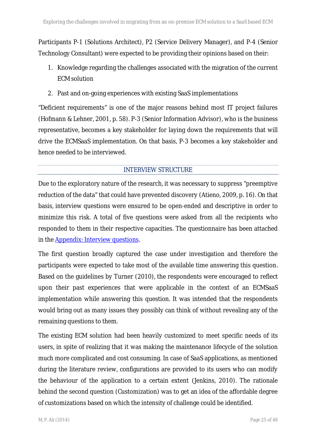Participants P-1 (Solutions Architect), P2 (Service Delivery Manager), and P-4 (Senior Technology Consultant) were expected to be providing their opinions based on their:

- 1. Knowledge regarding the challenges associated with the migration of the current ECM solution
- 2. Past and on-going experiences with existing SaaS implementations

"Deficient requirements" is one of the major reasons behind most IT project failures (Hofmann & Lehner, 2001, p. 58). P-3 (Senior Information Advisor), who is the business representative, becomes a key stakeholder for laying down the requirements that will drive the ECMSaaS implementation. On that basis, P-3 becomes a key stakeholder and hence needed to be interviewed.

## INTERVIEW STRUCTURE

Due to the exploratory nature of the research, it was necessary to suppress "preemptive reduction of the data" that could have prevented discovery (Atieno, 2009, p. 16). On that basis, interview questions were ensured to be open-ended and descriptive in order to minimize this risk. A total of five questions were asked from all the recipients who responded to them in their respective capacities. The questionnaire has been attached in the **Appendix:** Interview questions.

The first question broadly captured the case under investigation and therefore the participants were expected to take most of the available time answering this question. Based on the guidelines by Turner (2010), the respondents were encouraged to reflect upon their past experiences that were applicable in the context of an ECMSaaS implementation while answering this question. It was intended that the respondents would bring out as many issues they possibly can think of without revealing any of the remaining questions to them.

The existing ECM solution had been heavily customized to meet specific needs of its users, in spite of realizing that it was making the maintenance lifecycle of the solution much more complicated and cost consuming. In case of SaaS applications, as mentioned during the literature review, configurations are provided to its users who can modify the behaviour of the application to a certain extent (Jenkins, 2010). The rationale behind the second question (Customization) was to get an idea of the affordable degree of customizations based on which the intensity of challenge could be identified.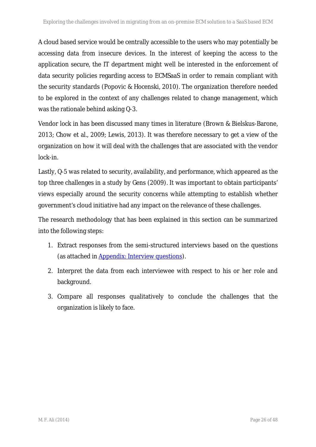A cloud based service would be centrally accessible to the users who may potentially be accessing data from insecure devices. In the interest of keeping the access to the application secure, the IT department might well be interested in the enforcement of data security policies regarding access to ECMSaaS in order to remain compliant with the security standards (Popovic & Hocenski, 2010). The organization therefore needed to be explored in the context of any challenges related to change management, which was the rationale behind asking Q-3.

Vendor lock in has been discussed many times in literature (Brown & Bielskus-Barone, 2013; Chow et al., 2009; Lewis, 2013). It was therefore necessary to get a view of the organization on how it will deal with the challenges that are associated with the vendor lock-in.

Lastly, Q-5 was related to security, availability, and performance, which appeared as the top three challenges in a study by Gens (2009). It was important to obtain participants' views especially around the security concerns while attempting to establish whether government's cloud initiative had any impact on the relevance of these challenges.

The research methodology that has been explained in this section can be summarized into the following steps:

- 1. Extract responses from the semi-structured interviews based on the questions (as attached in Appendix: Interview questions).
- 2. Interpret the data from each interviewee with respect to his or her role and background.
- 3. Compare all responses qualitatively to conclude the challenges that the organization is likely to face.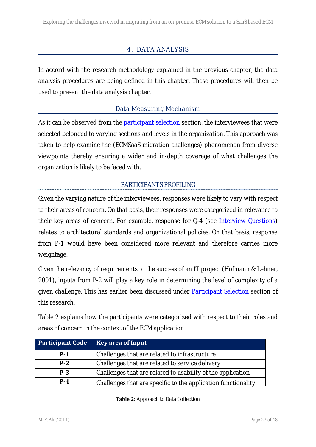## 4. DATA ANALYSIS

In accord with the research methodology explained in the previous chapter, the data analysis procedures are being defined in this chapter. These procedures will then be used to present the data analysis chapter.

## Data Measuring Mechanism

As it can be observed from the participant selection section, the interviewees that were selected belonged to varying sections and levels in the organization. This approach was taken to help examine the (ECMSaaS migration challenges) phenomenon from diverse viewpoints thereby ensuring a wider and in-depth coverage of what challenges the organization is likely to be faced with.

#### PARTICIPANTS PROFILING

Given the varying nature of the interviewees, responses were likely to vary with respect to their areas of concern. On that basis, their responses were categorized in relevance to their key areas of concern. For example, response for Q-4 (see Interview Questions) relates to architectural standards and organizational policies. On that basis, response from P-1 would have been considered more relevant and therefore carries more weightage.

Given the relevancy of requirements to the success of an IT project (Hofmann & Lehner, 2001), inputs from P-2 will play a key role in determining the level of complexity of a given challenge. This has earlier been discussed under **Participant Selection** section of this research.

Table 2 explains how the participants were categorized with respect to their roles and areas of concern in the context of the ECM application:

| <b>Participant Code</b> | <b>Key area of Input</b>                                      |
|-------------------------|---------------------------------------------------------------|
| $P-1$                   | Challenges that are related to infrastructure                 |
| $P-2$                   | Challenges that are related to service delivery               |
| $P-3$                   | Challenges that are related to usability of the application   |
| $P - 4$                 | Challenges that are specific to the application functionality |

**Table 2:** Approach to Data Collection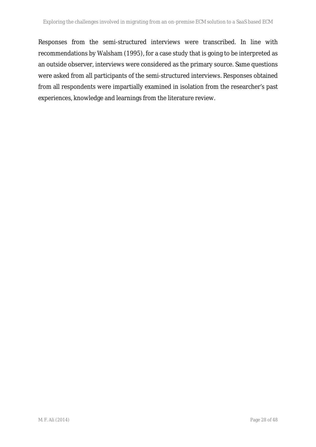Responses from the semi-structured interviews were transcribed. In line with recommendations by Walsham (1995), for a case study that is going to be interpreted as an outside observer, interviews were considered as the primary source. Same questions were asked from all participants of the semi-structured interviews. Responses obtained from all respondents were impartially examined in isolation from the researcher's past experiences, knowledge and learnings from the literature review.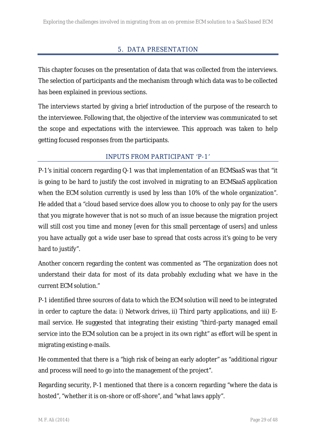## 5. DATA PRESENTATION

This chapter focuses on the presentation of data that was collected from the interviews. The selection of participants and the mechanism through which data was to be collected has been explained in previous sections.

The interviews started by giving a brief introduction of the purpose of the research to the interviewee. Following that, the objective of the interview was communicated to set the scope and expectations with the interviewee. This approach was taken to help getting focused responses from the participants.

## INPUTS FROM PARTICIPANT 'P-1'

P-1's initial concern regarding Q-1 was that implementation of an ECMSaaS was that "it is going to be hard to justify the cost involved in migrating to an ECMSaaS application when the ECM solution currently is used by less than 10% of the whole organization". He added that a "cloud based service does allow you to choose to only pay for the users that you migrate however that is not so much of an issue because the migration project will still cost you time and money [even for this small percentage of users] and unless you have actually got a wide user base to spread that costs across it's going to be very hard to justify".

Another concern regarding the content was commented as "The organization does not understand their data for most of its data probably excluding what we have in the current ECM solution."

P-1 identified three sources of data to which the ECM solution will need to be integrated in order to capture the data: i) Network drives, ii) Third party applications, and iii) E mail service. He suggested that integrating their existing "third-party managed email service into the ECM solution can be a project in its own right" as effort will be spent in migrating existing e-mails.

He commented that there is a "high risk of being an early adopter" as "additional rigour and process will need to go into the management of the project".

Regarding security, P-1 mentioned that there is a concern regarding "where the data is hosted", "whether it is on-shore or off-shore", and "what laws apply".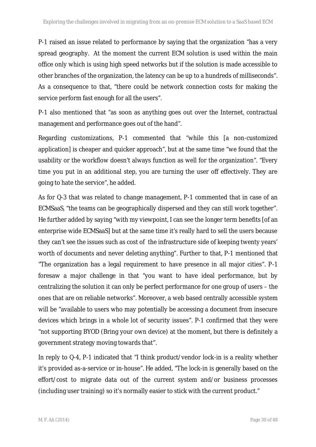P-1 raised an issue related to performance by saying that the organization "has a very spread geography. At the moment the current ECM solution is used within the main office only which is using high speed networks but if the solution is made accessible to other branches of the organization, the latency can be up to a hundreds of milliseconds". As a consequence to that, "there could be network connection costs for making the service perform fast enough for all the users".

P-1 also mentioned that "as soon as anything goes out over the Internet, contractual management and performance goes out of the hand".

Regarding customizations, P-1 commented that "while this [a non-customized application] is cheaper and quicker approach", but at the same time "we found that the usability or the workflow doesn't always function as well for the organization". "Every time you put in an additional step, you are turning the user off effectively. They are going to hate the service", he added.

As for Q-3 that was related to change management, P-1 commented that in case of an ECMSaaS, "the teams can be geographically dispersed and they can still work together". He further added by saying "with my viewpoint, I can see the longer term benefits [of an enterprise wide ECMSaaS] but at the same time it's really hard to sell the users because they can't see the issues such as cost of the infrastructure side of keeping twenty years' worth of documents and never deleting anything". Further to that, P-1 mentioned that "The organization has a legal requirement to have presence in all major cities". P-1 foresaw a major challenge in that "you want to have ideal performance, but by centralizing the solution it can only be perfect performance for one group of users – the ones that are on reliable networks". Moreover, a web based centrally accessible system will be "available to users who may potentially be accessing a document from insecure devices which brings in a whole lot of security issues". P-1 confirmed that they were "not supporting BYOD (Bring your own device) at the moment, but there is definitely a government strategy moving towards that".

In reply to Q-4, P-1 indicated that "I think product/vendor lock-in is a reality whether it's provided as-a-service or in-house". He added, "The lock-in is generally based on the effort/cost to migrate data out of the current system and/or business processes (including user training) so it's normally easier to stick with the current product."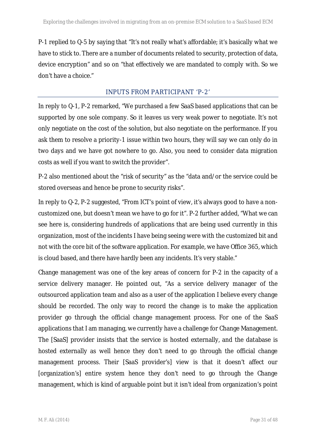P-1 replied to Q-5 by saying that "It's not really what's affordable; it's basically what we have to stick to. There are a number of documents related to security, protection of data, device encryption" and so on "that effectively we are mandated to comply with. So we don't have a choice."

#### INPUTS FROM PARTICIPANT 'P-2'

In reply to Q-1, P-2 remarked, "We purchased a few SaaS based applications that can be supported by one sole company. So it leaves us very weak power to negotiate. It's not only negotiate on the cost of the solution, but also negotiate on the performance. If you ask them to resolve a priority-1 issue within two hours, they will say we can only do in two days and we have got nowhere to go. Also, you need to consider data migration costs as well if you want to switch the provider".

P-2 also mentioned about the "risk of security" as the "data and/or the service could be stored overseas and hence be prone to security risks".

In reply to Q-2, P-2 suggested, "From ICT's point of view, it's always good to have a non customized one, but doesn't mean we have to go for it". P-2 further added, "What we can see here is, considering hundreds of applications that are being used currently in this organization, most of the incidents I have being seeing were with the customized bit and not with the core bit of the software application. For example, we have Office 365, which is cloud based, and there have hardly been any incidents. It's very stable."

Change management was one of the key areas of concern for P-2 in the capacity of a service delivery manager. He pointed out, "As a service delivery manager of the outsourced application team and also as a user of the application I believe every change should be recorded. The only way to record the change is to make the application provider go through the official change management process. For one of the SaaS applications that I am managing, we currently have a challenge for Change Management. The [SaaS] provider insists that the service is hosted externally, and the database is hosted externally as well hence they don't need to go through the official change management process. Their [SaaS provider's] view is that it doesn't affect our [organization's] entire system hence they don't need to go through the Change management, which is kind of arguable point but it isn't ideal from organization's point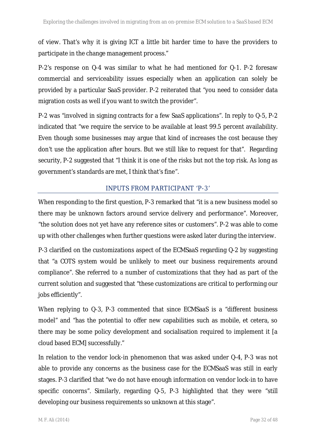of view. That's why it is giving ICT a little bit harder time to have the providers to participate in the change management process."

P-2's response on Q-4 was similar to what he had mentioned for Q-1. P-2 foresaw commercial and serviceability issues especially when an application can solely be provided by a particular SaaS provider. P-2 reiterated that "you need to consider data migration costs as well if you want to switch the provider".

P-2 was "involved in signing contracts for a few SaaS applications". In reply to Q-5, P-2 indicated that "we require the service to be available at least 99.5 percent availability. Even though some businesses may argue that kind of increases the cost because they don't use the application after hours. But we still like to request for that". Regarding security, P-2 suggested that "I think it is one of the risks but not the top risk. As long as government's standards are met, I think that's fine".

## INPUTS FROM PARTICIPANT 'P-3'

When responding to the first question, P-3 remarked that "it is a new business model so there may be unknown factors around service delivery and performance". Moreover, "the solution does not yet have any reference sites or customers". P-2 was able to come up with other challenges when further questions were asked later during the interview.

P-3 clarified on the customizations aspect of the ECMSaaS regarding Q-2 by suggesting that "a COTS system would be unlikely to meet our business requirements around compliance". She referred to a number of customizations that they had as part of the current solution and suggested that "these customizations are critical to performing our jobs efficiently".

When replying to Q-3, P-3 commented that since ECMSaaS is a "different business" model" and "has the potential to offer new capabilities such as mobile, et cetera, so there may be some policy development and socialisation required to implement it [a cloud based ECM] successfully."

In relation to the vendor lock-in phenomenon that was asked under Q-4, P-3 was not able to provide any concerns as the business case for the ECMSaaS was still in early stages. P-3 clarified that "we do not have enough information on vendor lock-in to have specific concerns". Similarly, regarding Q-5, P-3 highlighted that they were "still developing our business requirements so unknown at this stage".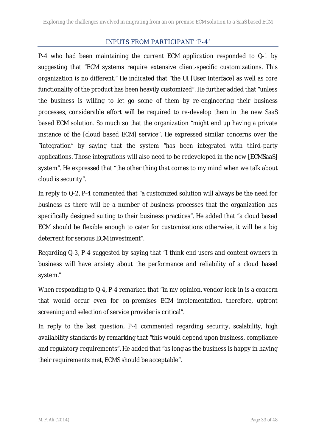## INPUTS FROM PARTICIPANT 'P-4'

P-4 who had been maintaining the current ECM application responded to Q-1 by suggesting that "ECM systems require extensive client-specific customizations. This organization is no different." He indicated that "the UI [User Interface] as well as core functionality of the product has been heavily customized". He further added that "unless the business is willing to let go some of them by re-engineering their business processes, considerable effort will be required to re-develop them in the new SaaS based ECM solution. So much so that the organization "might end up having a private instance of the [cloud based ECM] service". He expressed similar concerns over the "integration" by saying that the system "has been integrated with third-party applications. Those integrations will also need to be redeveloped in the new [ECMSaaS] system". He expressed that "the other thing that comes to my mind when we talk about cloud is security".

In reply to Q-2, P-4 commented that "a customized solution will always be the need for business as there will be a number of business processes that the organization has specifically designed suiting to their business practices". He added that "a cloud based ECM should be flexible enough to cater for customizations otherwise, it will be a big deterrent for serious ECM investment".

Regarding Q-3, P-4 suggested by saying that "I think end users and content owners in business will have anxiety about the performance and reliability of a cloud based system."

When responding to Q-4, P-4 remarked that "in my opinion, vendor lock-in is a concern that would occur even for on-premises ECM implementation, therefore, upfront screening and selection of service provider is critical".

In reply to the last question, P-4 commented regarding security, scalability, high availability standards by remarking that "this would depend upon business, compliance and regulatory requirements". He added that "as long as the business is happy in having their requirements met, ECMS should be acceptable".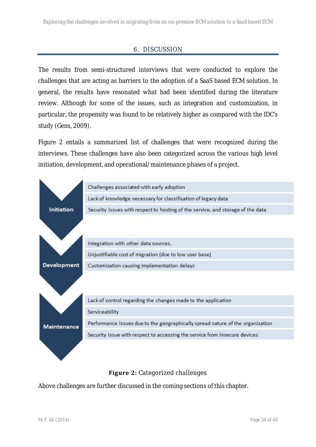## 6. DISCUSSION

The results from semi-structured interviews that were conducted to explore the challenges that are acting as barriers to the adoption of a SaaS based ECM solution. In general, the results have resonated what had been identified during the literature review. Although for some of the issues, such as integration and customization, in particular, the propensity was found to be relatively higher as compared with the IDC's study (Gens, 2009).

Figure 2 entails a summarized list of challenges that were recognized during the interviews. These challenges have also been categorized across the various high level initiation, development, and operational/maintenance phases of a project.



## **Figure 2:** Categorized challenges

Above challenges are further discussed in the coming sections of this chapter.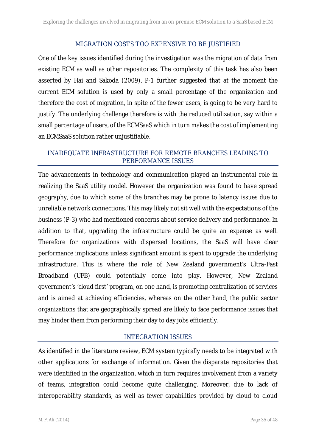#### MIGRATION COSTS TOO EXPENSIVE TO BE JUSTIFIED

One of the key issues identified during the investigation was the migration of data from existing ECM as well as other repositories. The complexity of this task has also been asserted by Hai and Sakoda (2009). P-1 further suggested that at the moment the current ECM solution is used by only a small percentage of the organization and therefore the cost of migration, in spite of the fewer users, is going to be very hard to justify. The underlying challenge therefore is with the reduced utilization, say within a small percentage of users, of the ECMSaaS which in turn makes the cost of implementing an ECMSaaS solution rather unjustifiable.

## INADEQUATE INFRASTRUCTURE FOR REMOTE BRANCHES LEADING TO PERFORMANCE ISSUES

The advancements in technology and communication played an instrumental role in realizing the SaaS utility model. However the organization was found to have spread geography, due to which some of the branches may be prone to latency issues due to unreliable network connections. This may likely not sit well with the expectations of the business (P-3) who had mentioned concerns about service delivery and performance. In addition to that, upgrading the infrastructure could be quite an expense as well. Therefore for organizations with dispersed locations, the SaaS will have clear performance implications unless significant amount is spent to upgrade the underlying infrastructure. This is where the role of New Zealand government's Ultra-Fast Broadband (UFB) could potentially come into play. However, New Zealand government's 'cloud first' program, on one hand, is promoting centralization of services and is aimed at achieving efficiencies, whereas on the other hand, the public sector organizations that are geographically spread are likely to face performance issues that may hinder them from performing their day to day jobs efficiently.

## INTEGRATION ISSUES

As identified in the literature review, ECM system typically needs to be integrated with other applications for exchange of information. Given the disparate repositories that were identified in the organization, which in turn requires involvement from a variety of teams, integration could become quite challenging. Moreover, due to lack of interoperability standards, as well as fewer capabilities provided by cloud to cloud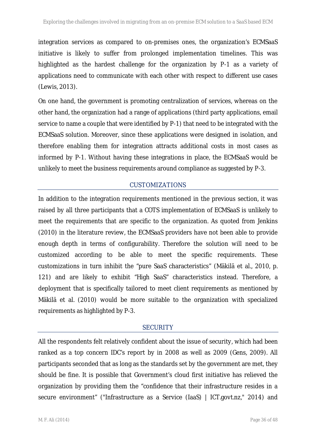integration services as compared to on-premises ones, the organization's ECMSaaS initiative is likely to suffer from prolonged implementation timelines. This was highlighted as the hardest challenge for the organization by P-1 as a variety of applications need to communicate with each other with respect to different use cases (Lewis, 2013).

On one hand, the government is promoting centralization of services, whereas on the other hand, the organization had a range of applications (third party applications, email service to name a couple that were identified by P-1) that need to be integrated with the ECMSaaS solution. Moreover, since these applications were designed in isolation, and therefore enabling them for integration attracts additional costs in most cases as informed by P-1. Without having these integrations in place, the ECMSaaS would be unlikely to meet the business requirements around compliance as suggested by P-3.

## CUSTOMIZATIONS

In addition to the integration requirements mentioned in the previous section, it was raised by all three participants that a COTS implementation of ECMSaaS is unlikely to meet the requirements that are specific to the organization. As quoted from Jenkins (2010) in the literature review, the ECMSaaS providers have not been able to provide enough depth in terms of configurability. Therefore the solution will need to be customized according to be able to meet the specific requirements. These customizations in turn inhibit the "pure SaaS characteristics" (Mäkilä et al., 2010, p. 121) and are likely to exhibit "High SaaS" characteristics instead. Therefore, a deployment that is specifically tailored to meet client requirements as mentioned by Mäkilä et al. (2010) would be more suitable to the organization with specialized requirements as highlighted by P-3.

## **SECURITY**

All the respondents felt relatively confident about the issue of security, which had been ranked as a top concern IDC's report by in 2008 as well as 2009 (Gens, 2009). All participants seconded that as long as the standards set by the government are met, they should be fine. It is possible that Government's cloud first initiative has relieved the organization by providing them the "confidence that their infrastructure resides in a secure environment" ("Infrastructure as a Service (IaaS) | ICT.govt.nz," 2014) and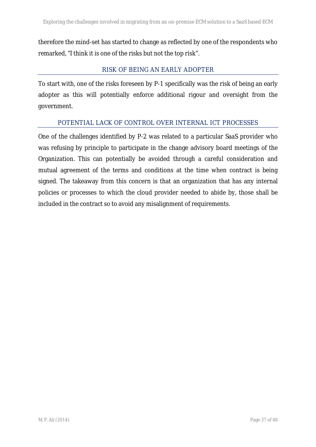therefore the mind-set has started to change as reflected by one of the respondents who remarked, "I think it is one of the risks but not the top risk".

## RISK OF BEING AN EARLY ADOPTER

To start with, one of the risks foreseen by P-1 specifically was the risk of being an early adopter as this will potentially enforce additional rigour and oversight from the government.

## POTENTIAL LACK OF CONTROL OVER INTERNAL ICT PROCESSES

One of the challenges identified by P-2 was related to a particular SaaS provider who was refusing by principle to participate in the change advisory board meetings of the Organization. This can potentially be avoided through a careful consideration and mutual agreement of the terms and conditions at the time when contract is being signed. The takeaway from this concern is that an organization that has any internal policies or processes to which the cloud provider needed to abide by, those shall be included in the contract so to avoid any misalignment of requirements.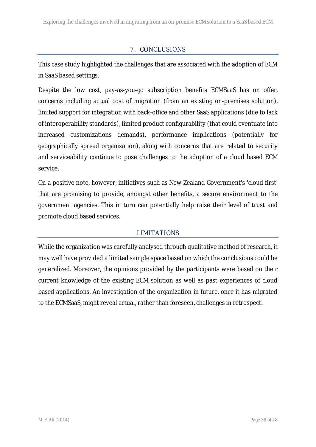## 7. CONCLUSIONS

This case study highlighted the challenges that are associated with the adoption of ECM in SaaS based settings.

Despite the low cost, pay-as-you-go subscription benefits ECMSaaS has on offer, concerns including actual cost of migration (from an existing on-premises solution), limited support for integration with back-office and other SaaS applications (due to lack of interoperability standards), limited product configurability (that could eventuate into increased customizations demands), performance implications (potentially for geographically spread organization), along with concerns that are related to security and serviceability continue to pose challenges to the adoption of a cloud based ECM service.

On a positive note, however, initiatives such as New Zealand Government's 'cloud first' that are promising to provide, amongst other benefits, a secure environment to the government agencies. This in turn can potentially help raise their level of trust and promote cloud based services.

## LIMITATIONS

While the organization was carefully analysed through qualitative method of research, it may well have provided a limited sample space based on which the conclusions could be generalized. Moreover, the opinions provided by the participants were based on their current knowledge of the existing ECM solution as well as past experiences of cloud based applications. An investigation of the organization in future, once it has migrated to the ECMSaaS, might reveal actual, rather than foreseen, challenges in retrospect.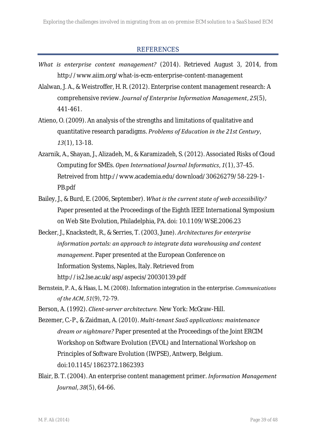#### REFERENCES

- *What is enterprise content management?* (2014). Retrieved August 3, 2014, from http://www.aiim.org/what-is-ecm-enterprise-content-management
- Alalwan, J. A., & Weistroffer, H. R. (2012). Enterprise content management research: A comprehensive review. *Journal of Enterprise Information Management*, *25*(5), 441-461.
- Atieno, O. (2009). An analysis of the strengths and limitations of qualitative and quantitative research paradigms. *Problems of Education in the 21st Century*, *13*(1), 13-18.
- Azarnik, A., Shayan, J., Alizadeh, M., & Karamizadeh, S. (2012). Associated Risks of Cloud Computing for SMEs. *Open International Journal Informatics*, *1*(1), 37-45. Retreived from http://www.academia.edu/download/30626279/58-229-1- PB.pdf
- Bailey, J., & Burd, E. (2006, September). *What is the current state of web accessibility?* Paper presented at the Proceedings of the Eighth IEEE International Symposium on Web Site Evolution, Philadelphia, PA. doi: 10.1109/WSE.2006.23
- Becker, J., Knackstedt, R., & Serries, T. (2003, June). *Architectures for enterprise information portals: an approach to integrate data warehousing and content management*. Paper presented at the European Conference on Information Systems, Naples, Italy. Retrieved from http://is2.lse.ac.uk/asp/aspecis/20030139.pdf
- Bernstein, P. A., & Haas, L. M. (2008). Information integration in the enterprise. *Communications of the ACM*, *51*(9), 72-79.
- Berson, A. (1992). *Client-server architecture.* New York: McGraw-Hill.
- Bezemer, C.-P., & Zaidman, A. (2010). *Multi-tenant SaaS applications: maintenance dream or nightmare?* Paper presented at the Proceedings of the Joint ERCIM Workshop on Software Evolution (EVOL) and International Workshop on Principles of Software Evolution (IWPSE), Antwerp, Belgium. doi:10.1145/1862372.1862393
- Blair, B. T. (2004). An enterprise content management primer. *Information Management Journal*, *38*(5), 64-66.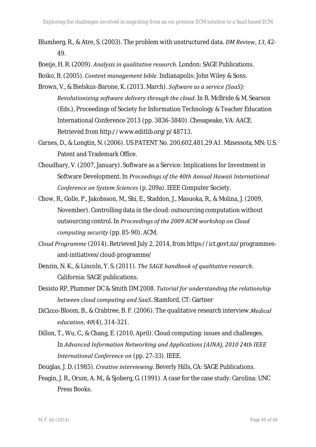Blumberg, R., & Atre, S. (2003). The problem with unstructured data. *DM Review*, *13*, 42- 49.

Boeije, H. R. (2009). *Analysis in qualitative research.* London: SAGE Publications.

Boiko, B. (2005). *Content management bible*. Indianapolis: John Wiley & Sons.

- Brown, V., & Bielskus-Barone, K. (2013, March). *Software as a service (SaaS): Revolutionizing software delivery through the cloud*. In R. McBride & M. Searson (Eds.), Proceedings of Society for Information Technology & Teacher Education International Conference 2013 (pp. 3836-3840). Chesapeake, VA: AACE. Retrieved from http://www.editlib.org/p/48713.
- Carnes, D., & Longtin, N. (2006). US PATENT No. 200,602,481,29 A1. Minessota, MN: U.S. Patent and Trademark Office.
- Choudhary, V. (2007, January). Software as a Service: Implications for Investment in Software Development. In *Proceedings of the 40th Annual Hawaii International Conference on System Sciences* (p. 209a). IEEE Computer Society.
- Chow, R., Golle, P., Jakobsson, M., Shi, E., Staddon, J., Masuoka, R., & Molina, J. (2009, November). Controlling data in the cloud: outsourcing computation without outsourcing control. In *Proceedings of the 2009 ACM workshop on Cloud computing security* (pp. 85-90). ACM.
- *Cloud Programme* (2014). Retrieved July 2, 2014, from https://ict.govt.nz/programmes and-initiatives/cloud-programme/
- Denzin, N. K., & Lincoln, Y. S. (2011). *The SAGE handbook of qualitative research*. California: SAGE publications.
- Desisto RP, Plummer DC & Smith DM 2008. *Tutorial for understanding the relationship between cloud computing and SaaS*. Stamford, CT: Gartner
- DiCicco‐Bloom, B., & Crabtree, B. F. (2006). The qualitative research interview.*Medical education*, *40*(4), 314-321.
- Dillon, T., Wu, C., & Chang, E. (2010, April). Cloud computing: issues and challenges. In *Advanced Information Networking and Applications (AINA), 2010 24th IEEE International Conference on* (pp. 27-33). IEEE.
- Douglas, J. D. (1985). *Creative interviewing*. Beverly Hills, CA: SAGE Publications.
- Feagin, J. R., Orum, A. M., & Sjoberg, G. (1991). A case for the case study. Carolina: UNC Press Books.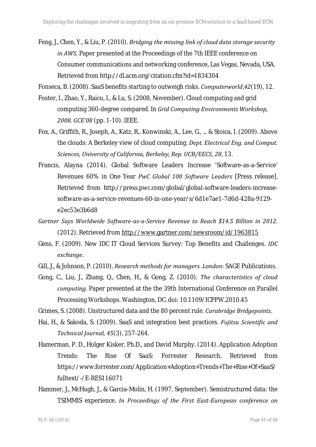Feng, J., Chen, Y., & Liu, P. (2010). *Bridging the missing link of cloud data storage security in AWS.* Paper presented at the Proceedings of the 7th IEEE conference on Consumer communications and networking conference, Las Vegas, Nevada, USA. Retrieved from http://dl.acm.org/citation.cfm?id=1834304

Fonseca, B. (2008). SaaS benefits starting to outweigh risks. *Computerworld*,*42*(19), 12.

- Foster, I., Zhao, Y., Raicu, I., & Lu, S. (2008, November). Cloud computing and grid computing 360-degree compared. In *Grid Computing Environments Workshop, 2008. GCE'08* (pp. 1-10). IEEE.
- Fox, A., Griffith, R., Joseph, A., Katz, R., Konwinski, A., Lee, G., ... & Stoica, I. (2009). Above the clouds: A Berkeley view of cloud computing. *Dept. Electrical Eng. and Comput. Sciences, University of California, Berkeley, Rep. UCB/EECS*, *28*, 13.
- Francis, Alayna (2014). Global Software Leaders Increase 'Software-as-a-Service' Revenues 60% in One Year *PwC Global 100 Software Leaders* [Press release]. Retrieved from http://press.pwc.com/global/global-software-leaders-increase software-as-a-service-revenues-60-in-one-year/s/6d1e7ae1-7d6d-428a-9129 e2ec53e3b6d8
- *Gartner Says Worldwide Software-as-a-Service Revenue to Reach \$14.5 Billion in 2012.* (2012). Retrieved from http://www.gartner.com/newsroom/id/1963815
- Gens, F. (2009). New IDC IT Cloud Services Survey: Top Benefits and Challenges. *IDC exchange*.
- Gill, J., & Johnson, P. (2010). *Research methods for managers. London*: SAGE Publications.
- Gong, C., Liu, J., Zhang, Q., Chen, H., & Gong, Z. (2010). *The characteristics of cloud computing.* Paper presented at the the 39th International Conference on Parallel Processing Workshops. Washington, DC. doi: 10.1109/ICPPW.2010.45

Grimes, S. (2008). Unstructured data and the 80 percent rule. *Carabridge Bridgepoints*.

- Hai, H., & Sakoda, S. (2009). SaaS and integration best practices. *Fujitsu Scientific and Technical Journal, 45*(3), 257-264.
- Hamerman, P. D., Holger Kisker, Ph.D., and David Murphy. (2014). Application Adoption Trends: The Rise Of SaaS: Forrester Research. Retrieved from https://www.forrester.com/Application+Adoption+Trends+The+Rise+Of+SaaS/ fulltext/-/E-RES116071
- Hammer, J., McHugh, J., & Garcia-Molin, H. (1997, September). Semistructured data: the TSIMMIS experience. *In Proceedings of the First East-European conference on*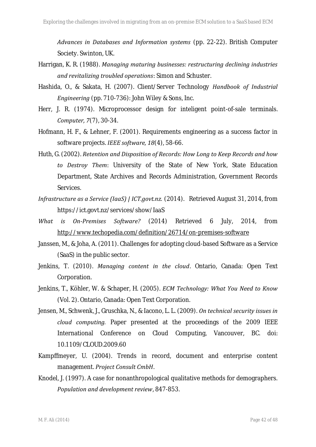*Advances in Databases and Information systems* (pp. 22-22). British Computer Society. Swinton, UK.

- Harrigan, K. R. (1988). *Managing maturing businesses: restructuring declining industries and revitalizing troubled operations*: Simon and Schuster.
- Hashida, O., & Sakata, H. (2007). Client/Server Technology *Handbook of Industrial Engineering* (pp. 710-736): John Wiley & Sons, Inc.
- Herr, J. R. (1974). Microprocessor design for inteligent point-of-sale terminals. *Computer, 7*(7), 30-34.
- Hofmann, H. F., & Lehner, F. (2001). Requirements engineering as a success factor in software projects. *IEEE software, 18*(4), 58-66.
- Huth, G. (2002). *Retention and Disposition of Records: How Long to Keep Records and how to Destroy Them*: University of the State of New York, State Education Department, State Archives and Records Administration, Government Records Services.
- *Infrastructure as a Service (IaaS) | ICT.govt.nz.* (2014). Retrieved August 31, 2014, from https://ict.govt.nz/services/show/IaaS
- *What is On-Premises Software?* (2014) Retrieved 6 July, 2014, from http://www.techopedia.com/definition/26714/on-premises-software
- Janssen, M., & Joha, A. (2011). Challenges for adopting cloud-based Software as a Service (SaaS) in the public sector.
- Jenkins, T. (2010). *Managing content in the cloud*. Ontario, Canada: Open Text Corporation.
- Jenkins, T., Köhler, W. & Schaper, H. (2005). *ECM Technology: What You Need to Know* (Vol. 2). Ontario, Canada: Open Text Corporation.
- Jensen, M., Schwenk, J., Gruschka, N., & Iacono, L. L. (2009). *On technical security issues in cloud computing.* Paper presented at the proceedings of the 2009 IEEE International Conference on Cloud Computing, Vancouver, BC. doi: 10.1109/CLOUD.2009.60
- Kampffmeyer, U. (2004). Trends in record, document and enterprise content management. *Project Consult CmbH*.
- Knodel, J. (1997). A case for nonanthropological qualitative methods for demographers. *Population and development review*, 847-853.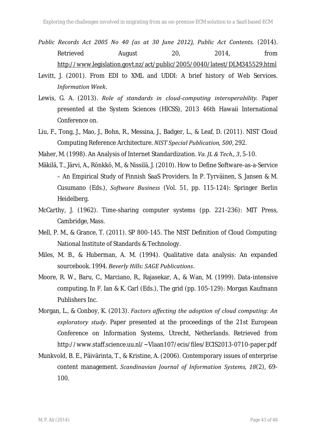- *Public Records Act 2005 No 40 (as at 30 June 2012), Public Act Contents.* (2014). Retrieved August 20, 2014, from http://www.legislation.govt.nz/act/public/2005/0040/latest/DLM345529.html
- Levitt, J. (2001). From EDI to XML and UDDI: A brief history of Web Services. *Information Week*.
- Lewis, G. A. (2013). *Role of standards in cloud-computing interoperability.* Paper presented at the System Sciences (HICSS), 2013 46th Hawaii International Conference on.
- Liu, F., Tong, J., Mao, J., Bohn, R., Messina, J., Badger, L., & Leaf, D. (2011). NIST Cloud Computing Reference Architecture. *NIST Special Publication, 500*, 292.
- Maher, M. (1998). An Analysis of Internet Standardization. *Va. JL & Tech., 3*, 5-10.
- Mäkilä, T., Järvi, A., Rönkkö, M., & Nissilä, J. (2010). How to Define Software-as-a-Service – An Empirical Study of Finnish SaaS Providers. In P. Tyrväinen, S. Jansen & M. Cusumano (Eds.), *Software Business* (Vol. 51, pp. 115-124): Springer Berlin Heidelberg.
- McCarthy, J. (1962). Time-sharing computer systems (pp. 221-236): MIT Press, Cambridge, Mass.
- Mell, P. M., & Grance, T. (2011). SP 800-145. The NIST Definition of Cloud Computing: National Institute of Standards & Technology.
- Miles, M. B., & Huberman, A. M. (1994). Qualitative data analysis: An expanded sourcebook. 1994. *Beverly Hills: SAGE Publications*.
- Moore, R. W., Baru, C., Marciano, R., Rajasekar, A., & Wan, M. (1999). Data-intensive computing. In F. Ian & K. Carl (Eds.), The grid (pp. 105-129): Morgan Kaufmann Publishers Inc.
- Morgan, L., & Conboy, K. (2013). *Factors affecting the adoption of cloud computing: An exploratory study*. Paper presented at the proceedings of the 21st European Conference on Information Systems, Utrecht, Netherlands. Retrieved from http://www.staff.science.uu.nl/~Vlaan107/ecis/files/ECIS2013-0710-paper.pdf
- Munkvold, B. E., Päivärinta, T., & Kristine, A. (2006). Contemporary issues of enterprise content management. *Scandinavian Journal of Information Systems, 18*(2), 69- 100.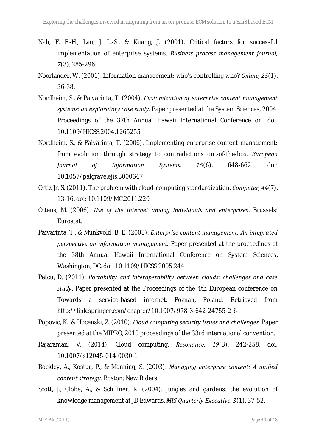- Nah, F. F.-H., Lau, J. L.-S., & Kuang, J. (2001). Critical factors for successful implementation of enterprise systems. *Business process management journal, 7*(3), 285-296.
- Noorlander, W. (2001). Information management: who's controlling who? *Online, 25*(1), 36-38.
- Nordheim, S., & Paivarinta, T. (2004). *Customization of enterprise content management systems: an exploratory case study.* Paper presented at the System Sciences, 2004. Proceedings of the 37th Annual Hawaii International Conference on. doi: 10.1109/HICSS.2004.1265255
- Nordheim, S., & Päivärinta, T. (2006). Implementing enterprise content management: from evolution through strategy to contradictions out-of-the-box. *European Journal of Information Systems, 15*(6), 648-662. doi: 10.1057/palgrave.ejis.3000647
- Ortiz Jr, S. (2011). The problem with cloud-computing standardization. *Computer, 44*(7), 13-16. doi: 10.1109/MC.2011.220
- Ottens, M. (2006). *Use of the Internet among individuals and enterprises*. Brussels: Eurostat.
- Paivarinta, T., & Munkvold, B. E. (2005). *Enterprise content management: An integrated perspective on information management.* Paper presented at the proceedings of the 38th Annual Hawaii International Conference on System Sciences, Washington, DC. doi: 10.1109/HICSS.2005.244
- Petcu, D. (2011). *Portability and interoperability between clouds: challenges and case study*. Paper presented at the Proceedings of the 4th European conference on Towards a service-based internet, Poznan, Poland. Retrieved from http://link.springer.com/chapter/10.1007/978-3-642-24755-2\_6
- Popovic, K., & Hocenski, Z. (2010). *Cloud computing security issues and challenges.* Paper presented at the MIPRO, 2010 proceedings of the 33rd international convention.
- Rajaraman, V. (2014). Cloud computing. *Resonance, 19*(3), 242-258. doi: 10.1007/s12045-014-0030-1
- Rockley, A., Kostur, P., & Manning, S. (2003). *Managing enterprise content: A unified content strategy*. Boston: New Riders.
- Scott, J., Globe, A., & Schiffner, K. (2004). Jungles and gardens: the evolution of knowledge management at JD Edwards. *MIS Quarterly Executive, 3*(1), 37-52.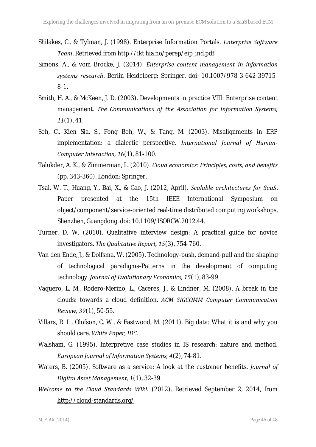- Shilakes, C., & Tylman, J. (1998). Enterprise Information Portals. *Enterprise Software Team*. Retrieved from http://ikt.hia.no/perep/eip\_ind.pdf
- Simons, A., & vom Brocke, J. (2014). *Enterprise content management in information systems research*. Berlin Heidelberg: Springer. doi: 10.1007/978-3-642-39715- 8\_1.
- Smith, H. A., & McKeen, J. D. (2003). Developments in practice VIII: Enterprise content management. *The Communications of the Association for Information Systems, 11*(1), 41.
- Soh, C., Kien Sia, S., Fong Boh, W., & Tang, M. (2003). Misalignments in ERP implementation: a dialectic perspective. *International Journal of Human- Computer Interaction, 16*(1), 81-100.
- Talukder, A. K., & Zimmerman, L. (2010). *Cloud economics: Principles, costs, and benefits* (pp. 343-360). London: Springer.
- Tsai, W. T., Huang, Y., Bai, X., & Gao, J. (2012, April). *Scalable architectures for SaaS*. Paper presented at the 15th IEEE International Symposium on object/component/service-oriented real-time distributed computing workshops, Shenzhen, Guangdong. doi: 10.1109/ISORCW.2012.44.
- Turner, D. W. (2010). Qualitative interview design: A practical guide for novice investigators. *The Qualitative Report, 15*(3), 754-760.
- Van den Ende, J., & Dolfsma, W. (2005). Technology-push, demand-pull and the shaping of technological paradigms-Patterns in the development of computing technology. *Journal of Evolutionary Economics, 15*(1), 83-99.
- Vaquero, L. M., Rodero-Merino, L., Caceres, J., & Lindner, M. (2008). A break in the clouds: towards a cloud definition. *ACM SIGCOMM Computer Communication Review, 39*(1), 50-55.
- Villars, R. L., Olofson, C. W., & Eastwood, M. (2011). Big data: What it is and why you should care. *White Paper, IDC*.
- Walsham, G. (1995). Interpretive case studies in IS research: nature and method. *European Journal of Information Systems, 4*(2), 74-81.
- Waters, B. (2005). Software as a service: A look at the customer benefits. *Journal of Digital Asset Management, 1*(1), 32-39.
- *Welcome to the Cloud Standards Wiki.* (2012). Retrieved September 2, 2014, from http://cloud-standards.org/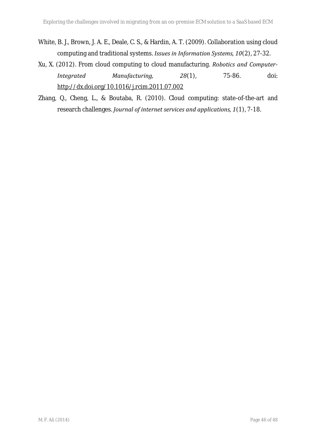- White, B. J., Brown, J. A. E., Deale, C. S., & Hardin, A. T. (2009). Collaboration using cloud computing and traditional systems. *Issues in Information Systems, 10*(2), 27-32.
- Xu, X. (2012). From cloud computing to cloud manufacturing. *Robotics and Computer- Integrated Manufacturing, 28*(1), 75-86. doi: http://dx.doi.org/10.1016/j.rcim.2011.07.002
- Zhang, Q., Cheng, L., & Boutaba, R. (2010). Cloud computing: state-of-the-art and research challenges. *Journal of internet services and applications, 1*(1), 7-18.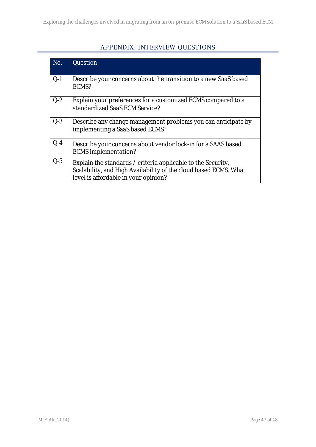# APPENDIX: INTERVIEW QUESTIONS

| No.     | Question                                                                                                                                                                 |
|---------|--------------------------------------------------------------------------------------------------------------------------------------------------------------------------|
| $Q-1$   | Describe your concerns about the transition to a new SaaS based<br>ECMS?                                                                                                 |
| $Q-2$   | Explain your preferences for a customized ECMS compared to a<br>standardized SaaS ECM Service?                                                                           |
| $Q-3$   | Describe any change management problems you can anticipate by<br>implementing a SaaS based ECMS?                                                                         |
| $Q - 4$ | Describe your concerns about vendor lock-in for a SAAS based<br><b>ECMS</b> implementation?                                                                              |
| $Q-5$   | Explain the standards / criteria applicable to the Security,<br>Scalability, and High Availability of the cloud based ECMS. What<br>level is affordable in your opinion? |